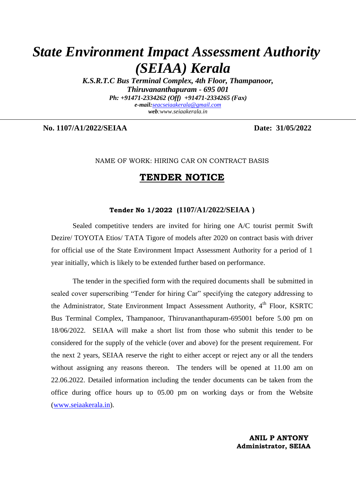# *State Environment Impact Assessment Authority (SEIAA) Kerala*

*K.S.R.T.C Bus Terminal Complex, 4th Floor, Thampanoor, Thiruvananthapuram - 695 001 Ph: +91471-2334262 (Off) +91471-2334265 (Fax) e-mail:[seacseiaakerala@gmail.com](mailto:seacseiaakerala@gmail.com) web:www.seiaakerala.in* 

**No. 1107/A1/2022/SEIAA Date: 31/05/2022**

#### NAME OF WORK: HIRING CAR ON CONTRACT BASIS

# **TENDER NOTICE**

#### **Tender No 1/2022 (1107/A1/2022/SEIAA )**

Sealed competitive tenders are invited for hiring one A/C tourist permit Swift Dezire/ TOYOTA Etios/ TATA Tigore of models after 2020 on contract basis with driver for official use of the State Environment Impact Assessment Authority for a period of 1 year initially, which is likely to be extended further based on performance.

The tender in the specified form with the required documents shall be submitted in sealed cover superscribing "Tender for hiring Car" specifying the category addressing to the Administrator, State Environment Impact Assessment Authority, 4<sup>th</sup> Floor, KSRTC Bus Terminal Complex, Thampanoor, Thiruvananthapuram-695001 before 5.00 pm on 18/06/2022. SEIAA will make a short list from those who submit this tender to be considered for the supply of the vehicle (over and above) for the present requirement. For the next 2 years, SEIAA reserve the right to either accept or reject any or all the tenders without assigning any reasons thereon. The tenders will be opened at 11.00 am on 22.06.2022. Detailed information including the tender documents can be taken from the office during office hours up to 05.00 pm on working days or from the Website [\(www.seiaakerala.in\)](http://www.seiaakerala.in/).

> **ANIL P ANTONY Administrator, SEIAA**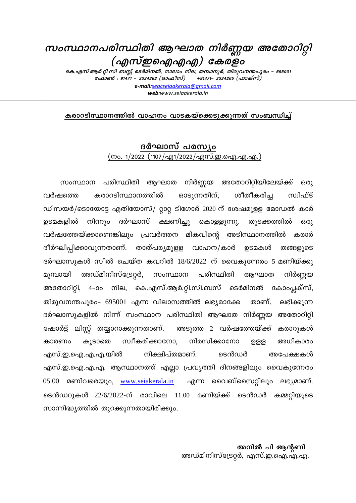# സംസ്ഥാനപരിസ്ഥിതി ആഘാത നിർണ്ണയ അതോറിറ്റി (എസ്ഇഐഎഎ) കേരളം

കെ.എസ്.ആർ.റ്റി.സി ബസ്റ്റ് ടെർമിനൽ, നാലാം നില, തമ്പാനൂർ, തിരുവനന്തപുരം – 695001 ഫോൺ : 91471 - 2334262 (ഓഫീസ്) +91471– 2334265 (ഫാക്സ്) e-mail:seacseiaakerala@gmail.com web:www.seigakerala.in

കരാറടിസ്ഥാനത്തിൽ വാഹനം വാടകയ്ക്കെടുക്കുന്നത് സംബന്ധിച്ച്

# ദർഘാസ് പരസ്യം (നം. 1/2022 (1107/എ1/2022/എസ്.ഇ.ഐ.എ.എ.)

സംസ്ഥാന പരിസ്ഥിതി ആഘാത നിർണ്ണയ അതോറിറ്റിയിലേയ്ക്ക് ഒരു കരാറടിസ്ഥാനത്തിൽ ഓടുന്നതിന്, ശീതീകരിച്ച സ്വിഫ്ട് വർഷത്തെ ഡിസയർ/ടൊയോട്ട എതിയോസ്/ റ്റാറ്റ ടിഗോർ 2020 ന് ശേഷമുളള മോഡൽ കാർ ഉടമകളിൽ നിന്നും ദർഘാസ് ക്ഷണിച്ചു കൊള്ളുന്നു. തുടക്കത്തിൽ 630) വർഷത്തേയ്ക്കാണെങ്കിലും പ്രവർത്തന മികവിന്റെ അടിസ്ഥാനത്തിൽ കരാർ ദീർഘിപ്പിക്കാവുന്നതാണ്. താത്പര്യമുളള വാഹന/കാർ ഉടമകൾ തങ്ങളുടെ ദർഘാസുകൾ സീൽ ചെയ്ത കവറിൽ  $18/6/2022$  ന് വൈകുന്നേരം 5 മണിയ്ക്കു അഡ്മിനിസ്ട്രേറ്റർ, സംസ്ഥാന പരിസ്ഥിതി മുമ്പായി ആഘാത നിർണ്ണയ അതോറിറ്റി, 4–ാം നില, കെ.എസ്.ആർ.റ്റി.സി.ബസ് ടെർമിനൽ കോംപ്ലക്സ്, താണ്. തിരുവനന്തപുരം- 695001 എന്ന വിലാസത്തിൽ ലഭ്യമാക്കേ ലഭിക്കുന്ന ദർഘാസുകളിൽ നിന്ന് സംസ്ഥാന പരിസ്ഥിതി ആഘാത നിർണ്ണയ അതോറിറ്റി ഷോർട്ട് ലിസ്റ്റ് തയ്യാറാക്കുന്നതാണ്. അടുത്ത 2 വർഷത്തേയ്ക്ക് കരാറുകൾ സ്വീകരിക്കാനോ. നിരസിക്കാനോ കൂടാതെ അധികാരം കാരണം ற்தத നിക്ഷിപ്തമാണ്. ടെൻഡർ എസ്.ഇ.ഐ.എ.എ.യിൽ അപേക്ഷകൾ എസ്.ഇ.ഐ.എ.എ. ആസ്ഥാനത്ത് എല്ലാ പ്രവൃത്തി ദിനങ്ങളിലും വൈകുന്നേരം 05.00 മണിവരെയും, www.seiakerala.in എന്ന വൈബ്സൈറ്റിലും ലഭ്യമാണ്. ടെൻഡറൂകൾ 22/6/2022-ന് രാവിലെ 11.00 മണിയ്ക്ക് ടെൻഡർ കമ്മറ്റിയുടെ സാന്നിദ്ധ്യത്തിൽ തൂറക്കുന്നതായിരിക്കും.

# അനിൽ പി ആന്റണി അഡ്മിനിസ്ട്രേറ്റർ, എസ്.ഇ.ഐ.എ.എ.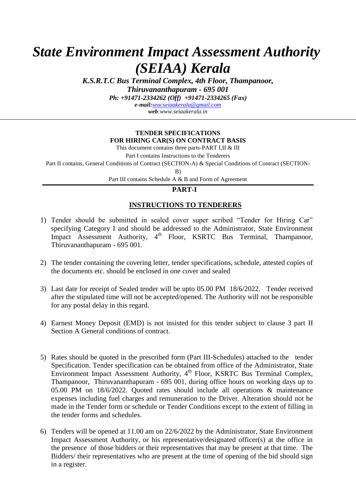# *State Environment Impact Assessment Authority (SEIAA) Kerala*

*K.S.R.T.C Bus Terminal Complex, 4th Floor, Thampanoor, Thiruvananthapuram - 695 001*

*Ph: +91471-2334262 (Off) +91471-2334265 (Fax)*

*e-mail:[seacseiaakerala@gmail.com](mailto:seacseiaakerala@gmail.com) web:www.seiaakerala.in* 

#### **TENDER SPECIFICATIONS FOR HIRING CAR(S) ON CONTRACT BASIS**

This document contains three parts-PART I,II & III

Part I contains Instructions to the Tenderers

Part II contains, General Conditions of Contract (SECTION-A) & Special Conditions of Contract (SECTION-

B)

Part III contains Schedule A & B and Form of Agreement

### **PART-I**

## **INSTRUCTIONS TO TENDERERS**

- 1) Tender should be submitted in sealed cover super scribed "Tender for Hiring Car" specifying Category I and should be addressed to the Administrator, State Environment Impact Assessment Authority, 4<sup>th</sup> Floor, KSRTC Bus Terminal, Thampanoor, Thiruvananthapuram - 695 001.
- 2) The tender containing the covering letter, tender specifications, schedule, attested copies of the documents etc. should be enclosed in one cover and sealed
- 3) Last date for receipt of Sealed tender will be upto 05.00 PM 18/6/2022. Tender received after the stipulated time will not be accepted/opened. The Authority will not be responsible for any postal delay in this regard.
- 4) Earnest Money Deposit (EMD) is not insisted for this tender subject to clause 3 part II Section A General conditions of contract.
- 5) Rates should be quoted in the prescribed form (Part III-Schedules) attached to the tender Specification. Tender specification can be obtained from office of the Administrator, State Environment Impact Assessment Authority, 4<sup>th</sup> Floor, KSRTC Bus Terminal Complex, Thampanoor, Thiruvananthapuram - 695 001, during office hours on working days up to 05.00 PM on 18/6/2022. Quoted rates should include all operations & maintenance expenses including fuel charges and remuneration to the Driver. Alteration should not be made in the Tender form or schedule or Tender Conditions except to the extent of filling in the tender forms and schedules.
- 6) Tenders will be opened at 11.00 am on 22/6/2022 by the Administrator, State Environment Impact Assessment Authority, or his representative/designated officer(s) at the office in the presence of those bidders or their representatives that may be present at that time. The Bidders/ their representatives who are present at the time of opening of the bid should sign in a register.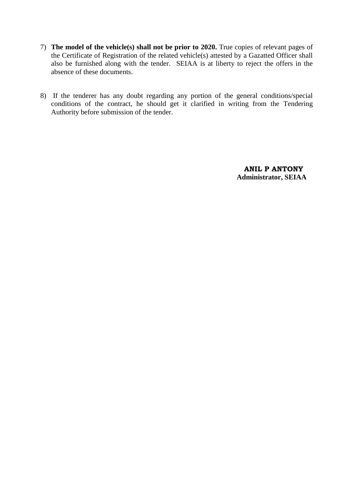- 7) **The model of the vehicle(s) shall not be prior to 2020.** True copies of relevant pages of the Certificate of Registration of the related vehicle(s) attested by a Gazatted Officer shall also be furnished along with the tender. SEIAA is at liberty to reject the offers in the absence of these documents.
- 8) If the tenderer has any doubt regarding any portion of the general conditions/special conditions of the contract, he should get it clarified in writing from the Tendering Authority before submission of the tender.

 **ANIL P ANTONY Administrator, SEIAA**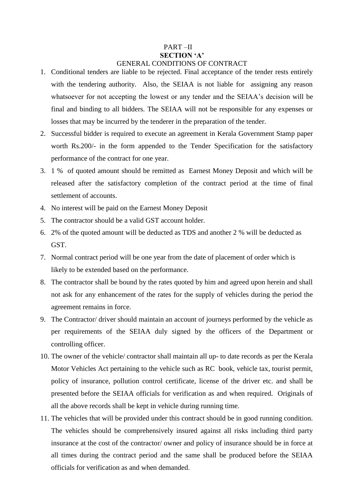#### PART –II **SECTION "A"** GENERAL CONDITIONS OF CONTRACT

- 1. Conditional tenders are liable to be rejected. Final acceptance of the tender rests entirely with the tendering authority. Also, the SEIAA is not liable for assigning any reason whatsoever for not accepting the lowest or any tender and the SEIAA's decision will be final and binding to all bidders. The SEIAA will not be responsible for any expenses or losses that may be incurred by the tenderer in the preparation of the tender.
- 2. Successful bidder is required to execute an agreement in Kerala Government Stamp paper worth Rs.200/- in the form appended to the Tender Specification for the satisfactory performance of the contract for one year.
- 3. 1 % of quoted amount should be remitted as Earnest Money Deposit and which will be released after the satisfactory completion of the contract period at the time of final settlement of accounts.
- 4. No interest will be paid on the Earnest Money Deposit
- 5. The contractor should be a valid GST account holder.
- 6. 2% of the quoted amount will be deducted as TDS and another 2 % will be deducted as GST.
- 7. Normal contract period will be one year from the date of placement of order which is likely to be extended based on the performance.
- 8. The contractor shall be bound by the rates quoted by him and agreed upon herein and shall not ask for any enhancement of the rates for the supply of vehicles during the period the agreement remains in force.
- 9. The Contractor/ driver should maintain an account of journeys performed by the vehicle as per requirements of the SEIAA duly signed by the officers of the Department or controlling officer.
- 10. The owner of the vehicle/ contractor shall maintain all up- to date records as per the Kerala Motor Vehicles Act pertaining to the vehicle such as RC book, vehicle tax, tourist permit, policy of insurance, pollution control certificate, license of the driver etc. and shall be presented before the SEIAA officials for verification as and when required. Originals of all the above records shall be kept in vehicle during running time.
- 11. The vehicles that will be provided under this contract should be in good running condition. The vehicles should be comprehensively insured against all risks including third party insurance at the cost of the contractor/ owner and policy of insurance should be in force at all times during the contract period and the same shall be produced before the SEIAA officials for verification as and when demanded.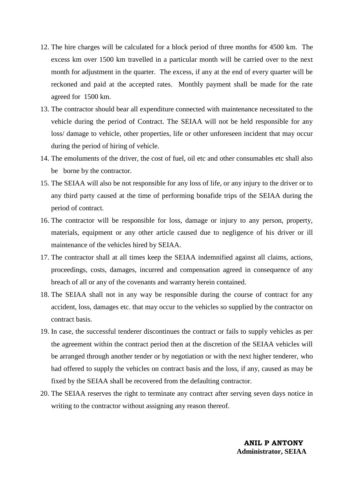- 12. The hire charges will be calculated for a block period of three months for 4500 km. The excess km over 1500 km travelled in a particular month will be carried over to the next month for adjustment in the quarter. The excess, if any at the end of every quarter will be reckoned and paid at the accepted rates. Monthly payment shall be made for the rate agreed for 1500 km.
- 13. The contractor should bear all expenditure connected with maintenance necessitated to the vehicle during the period of Contract. The SEIAA will not be held responsible for any loss/ damage to vehicle, other properties, life or other unforeseen incident that may occur during the period of hiring of vehicle.
- 14. The emoluments of the driver, the cost of fuel, oil etc and other consumables etc shall also be borne by the contractor.
- 15. The SEIAA will also be not responsible for any loss of life, or any injury to the driver or to any third party caused at the time of performing bonafide trips of the SEIAA during the period of contract.
- 16. The contractor will be responsible for loss, damage or injury to any person, property, materials, equipment or any other article caused due to negligence of his driver or ill maintenance of the vehicles hired by SEIAA.
- 17. The contractor shall at all times keep the SEIAA indemnified against all claims, actions, proceedings, costs, damages, incurred and compensation agreed in consequence of any breach of all or any of the covenants and warranty herein contained.
- 18. The SEIAA shall not in any way be responsible during the course of contract for any accident, loss, damages etc. that may occur to the vehicles so supplied by the contractor on contract basis.
- 19. In case, the successful tenderer discontinues the contract or fails to supply vehicles as per the agreement within the contract period then at the discretion of the SEIAA vehicles will be arranged through another tender or by negotiation or with the next higher tenderer, who had offered to supply the vehicles on contract basis and the loss, if any, caused as may be fixed by the SEIAA shall be recovered from the defaulting contractor.
- 20. The SEIAA reserves the right to terminate any contract after serving seven days notice in writing to the contractor without assigning any reason thereof.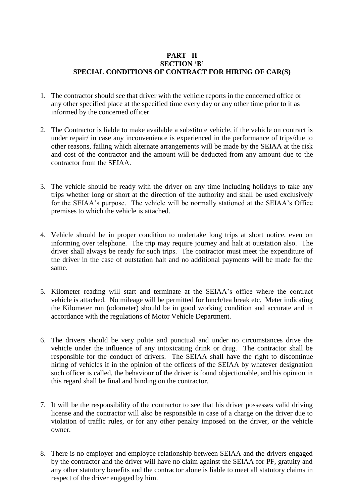### **PART –II SECTION "B" SPECIAL CONDITIONS OF CONTRACT FOR HIRING OF CAR(S)**

- 1. The contractor should see that driver with the vehicle reports in the concerned office or any other specified place at the specified time every day or any other time prior to it as informed by the concerned officer.
- 2. The Contractor is liable to make available a substitute vehicle, if the vehicle on contract is under repair/ in case any inconvenience is experienced in the performance of trips/due to other reasons, failing which alternate arrangements will be made by the SEIAA at the risk and cost of the contractor and the amount will be deducted from any amount due to the contractor from the SEIAA.
- 3. The vehicle should be ready with the driver on any time including holidays to take any trips whether long or short at the direction of the authority and shall be used exclusively for the SEIAA's purpose. The vehicle will be normally stationed at the SEIAA's Office premises to which the vehicle is attached.
- 4. Vehicle should be in proper condition to undertake long trips at short notice, even on informing over telephone. The trip may require journey and halt at outstation also. The driver shall always be ready for such trips. The contractor must meet the expenditure of the driver in the case of outstation halt and no additional payments will be made for the same.
- 5. Kilometer reading will start and terminate at the SEIAA's office where the contract vehicle is attached. No mileage will be permitted for lunch/tea break etc. Meter indicating the Kilometer run (odometer) should be in good working condition and accurate and in accordance with the regulations of Motor Vehicle Department.
- 6. The drivers should be very polite and punctual and under no circumstances drive the vehicle under the influence of any intoxicating drink or drug. The contractor shall be responsible for the conduct of drivers. The SEIAA shall have the right to discontinue hiring of vehicles if in the opinion of the officers of the SEIAA by whatever designation such officer is called, the behaviour of the driver is found objectionable, and his opinion in this regard shall be final and binding on the contractor.
- 7. It will be the responsibility of the contractor to see that his driver possesses valid driving license and the contractor will also be responsible in case of a charge on the driver due to violation of traffic rules, or for any other penalty imposed on the driver, or the vehicle owner.
- 8. There is no employer and employee relationship between SEIAA and the drivers engaged by the contractor and the driver will have no claim against the SEIAA for PF, gratuity and any other statutory benefits and the contractor alone is liable to meet all statutory claims in respect of the driver engaged by him.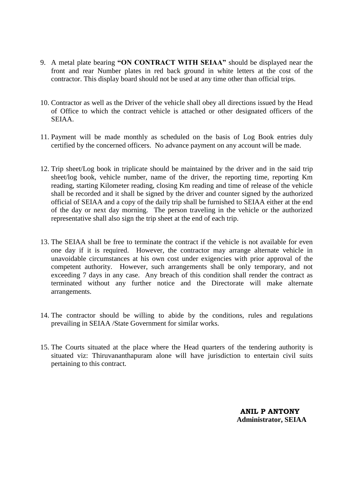- 9. A metal plate bearing **"ON CONTRACT WITH SEIAA"** should be displayed near the front and rear Number plates in red back ground in white letters at the cost of the contractor. This display board should not be used at any time other than official trips.
- 10. Contractor as well as the Driver of the vehicle shall obey all directions issued by the Head of Office to which the contract vehicle is attached or other designated officers of the SEIAA.
- 11. Payment will be made monthly as scheduled on the basis of Log Book entries duly certified by the concerned officers. No advance payment on any account will be made.
- 12. Trip sheet/Log book in triplicate should be maintained by the driver and in the said trip sheet/log book, vehicle number, name of the driver, the reporting time, reporting Km reading, starting Kilometer reading, closing Km reading and time of release of the vehicle shall be recorded and it shall be signed by the driver and counter signed by the authorized official of SEIAA and a copy of the daily trip shall be furnished to SEIAA either at the end of the day or next day morning. The person traveling in the vehicle or the authorized representative shall also sign the trip sheet at the end of each trip.
- 13. The SEIAA shall be free to terminate the contract if the vehicle is not available for even one day if it is required. However, the contractor may arrange alternate vehicle in unavoidable circumstances at his own cost under exigencies with prior approval of the competent authority. However, such arrangements shall be only temporary, and not exceeding 7 days in any case. Any breach of this condition shall render the contract as terminated without any further notice and the Directorate will make alternate arrangements.
- 14. The contractor should be willing to abide by the conditions, rules and regulations prevailing in SEIAA /State Government for similar works.
- 15. The Courts situated at the place where the Head quarters of the tendering authority is situated viz: Thiruvananthapuram alone will have jurisdiction to entertain civil suits pertaining to this contract.

 **ANIL P ANTONY Administrator, SEIAA**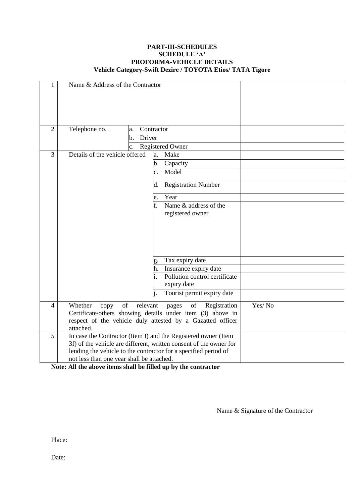#### **PART-III-SCHEDULES SCHEDULE "A" PROFORMA-VEHICLE DETAILS Vehicle Category-Swift Dezire / TOYOTA Etios/ TATA Tigore**

| 1              | Name & Address of the Contractor                                   |                                           |                                                            |        |
|----------------|--------------------------------------------------------------------|-------------------------------------------|------------------------------------------------------------|--------|
| $\overline{2}$ | Telephone no.<br>Contractor<br>a.                                  |                                           |                                                            |        |
|                |                                                                    | Driver<br>b.                              |                                                            |        |
|                |                                                                    | $\mathbf{c}$ .<br><b>Registered Owner</b> |                                                            |        |
| 3              | Details of the vehicle offered                                     |                                           | Make<br>a.                                                 |        |
|                |                                                                    |                                           | Capacity<br>b.                                             |        |
|                |                                                                    |                                           | Model<br>$\mathbf{c}$ .                                    |        |
|                |                                                                    |                                           | <b>Registration Number</b><br>d.                           |        |
|                |                                                                    |                                           | Year<br>e.                                                 |        |
|                |                                                                    |                                           | f.<br>Name $\&$ address of the                             |        |
|                |                                                                    |                                           | registered owner                                           |        |
|                |                                                                    |                                           |                                                            |        |
|                |                                                                    |                                           |                                                            |        |
|                |                                                                    |                                           |                                                            |        |
|                |                                                                    |                                           |                                                            |        |
|                |                                                                    |                                           | Tax expiry date<br>g.                                      |        |
|                |                                                                    |                                           | Insurance expiry date<br>h.                                |        |
|                |                                                                    |                                           | Pollution control certificate                              |        |
|                |                                                                    |                                           | expiry date                                                |        |
|                |                                                                    |                                           | Tourist permit expiry date<br>i.                           |        |
| $\overline{4}$ | Whether<br>of<br>relevant<br>of<br>Registration<br>copy<br>pages   |                                           |                                                            | Yes/No |
|                | Certificate/others showing details under item (3) above in         |                                           |                                                            |        |
|                | attached.                                                          |                                           | respect of the vehicle duly attested by a Gazatted officer |        |
| 5              | In case the Contractor (Item I) and the Registered owner (Item     |                                           |                                                            |        |
|                | 3f) of the vehicle are different, written consent of the owner for |                                           |                                                            |        |
|                | lending the vehicle to the contractor for a specified period of    |                                           |                                                            |        |
|                | not less than one year shall be attached.                          |                                           |                                                            |        |

**Note: All the above items shall be filled up by the contractor**

Name & Signature of the Contractor

Place:

Date: